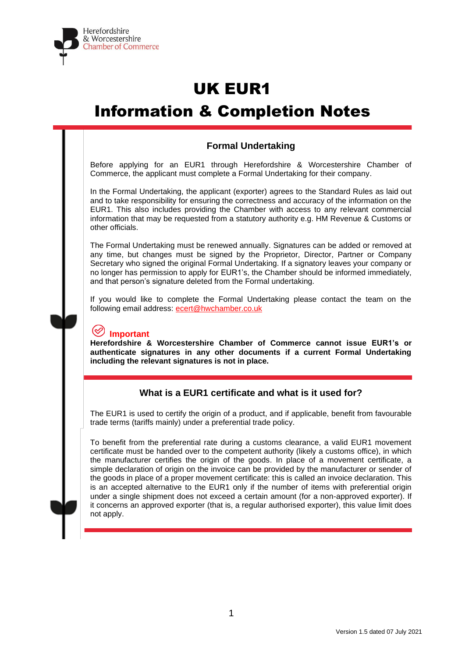

# UK EUR1 Information & Completion Notes

# **Formal Undertaking**

Before applying for an EUR1 through Herefordshire & Worcestershire Chamber of Commerce, the applicant must complete a Formal Undertaking for their company.

In the Formal Undertaking, the applicant (exporter) agrees to the Standard Rules as laid out and to take responsibility for ensuring the correctness and accuracy of the information on the EUR1. This also includes providing the Chamber with access to any relevant commercial information that may be requested from a statutory authority e.g. HM Revenue & Customs or other officials.

The Formal Undertaking must be renewed annually. Signatures can be added or removed at any time, but changes must be signed by the Proprietor, Director, Partner or Company Secretary who signed the original Formal Undertaking. If a signatory leaves your company or no longer has permission to apply for EUR1's, the Chamber should be informed immediately, and that person's signature deleted from the Formal undertaking.

If you would like to complete the Formal Undertaking please contact the team on the following email address: [ecert@hwchamber.co.uk](mailto:ecert@hwchamber.co.uk)

# **Important**

**Herefordshire & Worcestershire Chamber of Commerce cannot issue EUR1's or authenticate signatures in any other documents if a current Formal Undertaking including the relevant signatures is not in place.**

# **What is a EUR1 certificate and what is it used for?**

The EUR1 is used to certify the origin of a product, and if applicable, benefit from favourable trade terms (tariffs mainly) under a preferential trade policy.

To benefit from the preferential rate during a customs clearance, a valid EUR1 movement certificate must be handed over to the competent authority (likely a customs office), in which the manufacturer certifies the origin of the goods. In place of a movement certificate, a simple declaration of origin on the invoice can be provided by the manufacturer or sender of the goods in place of a proper movement certificate: this is called an invoice declaration. This is an accepted alternative to the EUR1 only if the number of items with preferential origin under a single shipment does not exceed a certain amount (for a non-approved exporter). If it concerns an approved exporter (that is, a regular authorised exporter), this value limit does not apply.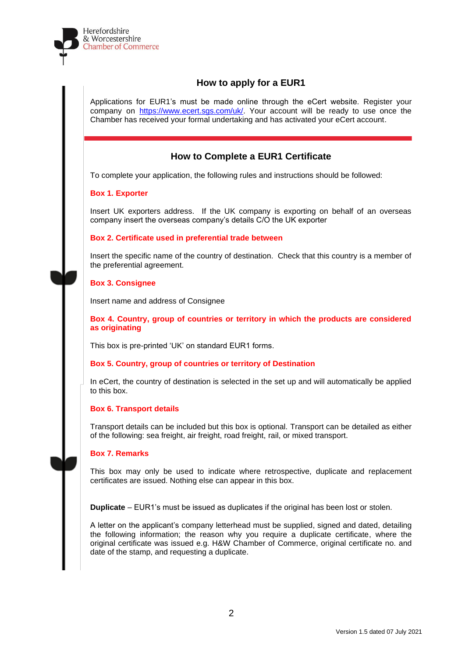

# **How to apply for a EUR1**

Applications for EUR1's must be made online through the eCert website. Register your company on [https://www.ecert.sgs.com/uk/.](https://www.ecert.sgs.com/uk/) Your account will be ready to use once the Chamber has received your formal undertaking and has activated your eCert account.

# **How to Complete a EUR1 Certificate**

To complete your application, the following rules and instructions should be followed:

# **Box 1. Exporter**

Insert UK exporters address. If the UK company is exporting on behalf of an overseas company insert the overseas company's details C/O the UK exporter

# **Box 2. Certificate used in preferential trade between**

Insert the specific name of the country of destination. Check that this country is a member of the preferential agreement.

# **Box 3. Consignee**

Insert name and address of Consignee

**Box 4. Country, group of countries or territory in which the products are considered as originating**

This box is pre-printed 'UK' on standard EUR1 forms.

# **Box 5. Country, group of countries or territory of Destination**

In eCert, the country of destination is selected in the set up and will automatically be applied to this box.

# **Box 6. Transport details**

Transport details can be included but this box is optional. Transport can be detailed as either of the following: sea freight, air freight, road freight, rail, or mixed transport.

# **Box 7. Remarks**

This box may only be used to indicate where retrospective, duplicate and replacement certificates are issued. Nothing else can appear in this box.

**Duplicate** – EUR1's must be issued as duplicates if the original has been lost or stolen.

A letter on the applicant's company letterhead must be supplied, signed and dated, detailing the following information; the reason why you require a duplicate certificate, where the original certificate was issued e.g. H&W Chamber of Commerce, original certificate no. and date of the stamp, and requesting a duplicate.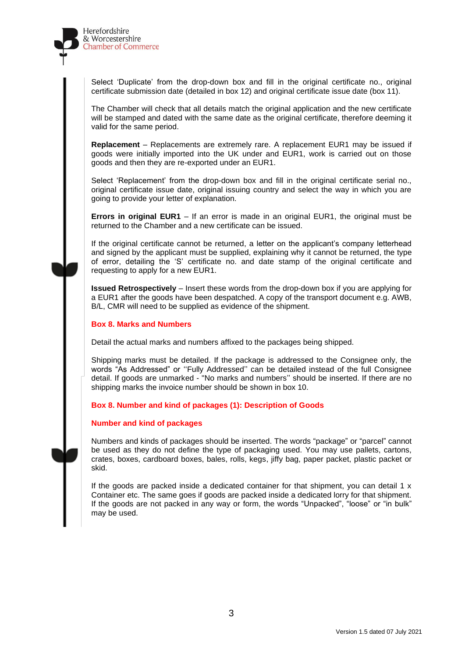

Select 'Duplicate' from the drop-down box and fill in the original certificate no., original certificate submission date (detailed in box 12) and original certificate issue date (box 11).

The Chamber will check that all details match the original application and the new certificate will be stamped and dated with the same date as the original certificate, therefore deeming it valid for the same period.

**Replacement** – Replacements are extremely rare. A replacement EUR1 may be issued if goods were initially imported into the UK under and EUR1, work is carried out on those goods and then they are re-exported under an EUR1.

Select 'Replacement' from the drop-down box and fill in the original certificate serial no., original certificate issue date, original issuing country and select the way in which you are going to provide your letter of explanation.

**Errors in original EUR1** – If an error is made in an original EUR1, the original must be returned to the Chamber and a new certificate can be issued.

If the original certificate cannot be returned, a letter on the applicant's company letterhead and signed by the applicant must be supplied, explaining why it cannot be returned, the type of error, detailing the 'S' certificate no. and date stamp of the original certificate and requesting to apply for a new EUR1.

**Issued Retrospectively** – Insert these words from the drop-down box if you are applying for a EUR1 after the goods have been despatched. A copy of the transport document e.g. AWB, B/L, CMR will need to be supplied as evidence of the shipment.

### **Box 8. Marks and Numbers**

Detail the actual marks and numbers affixed to the packages being shipped.

Shipping marks must be detailed. If the package is addressed to the Consignee only, the words "As Addressed" or ''Fully Addressed'' can be detailed instead of the full Consignee detail. If goods are unmarked - "No marks and numbers'' should be inserted. If there are no shipping marks the invoice number should be shown in box 10.

### **Box 8. Number and kind of packages (1): Description of Goods**

### **Number and kind of packages**

Numbers and kinds of packages should be inserted. The words "package" or "parcel" cannot be used as they do not define the type of packaging used. You may use pallets, cartons, crates, boxes, cardboard boxes, bales, rolls, kegs, jiffy bag, paper packet, plastic packet or skid.

If the goods are packed inside a dedicated container for that shipment, you can detail  $1 \times$ Container etc. The same goes if goods are packed inside a dedicated lorry for that shipment. If the goods are not packed in any way or form, the words "Unpacked", "loose" or "in bulk" may be used.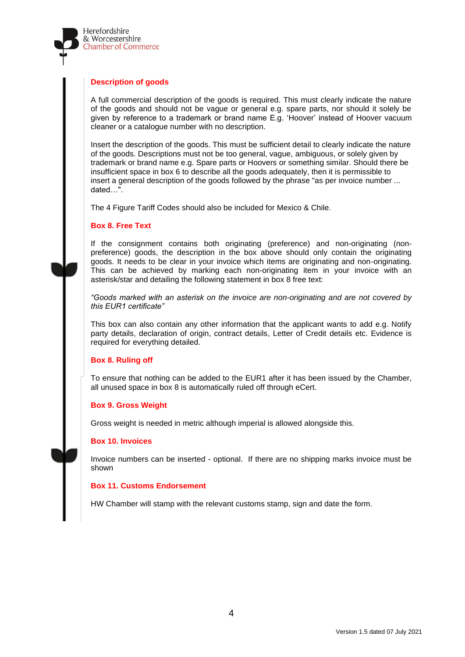

## **Description of goods**

A full commercial description of the goods is required. This must clearly indicate the nature of the goods and should not be vague or general e.g. spare parts, nor should it solely be given by reference to a trademark or brand name E.g. 'Hoover' instead of Hoover vacuum cleaner or a catalogue number with no description.

Insert the description of the goods. This must be sufficient detail to clearly indicate the nature of the goods. Descriptions must not be too general, vague, ambiguous, or solely given by trademark or brand name e.g. Spare parts or Hoovers or something similar. Should there be insufficient space in box 6 to describe all the goods adequately, then it is permissible to insert a general description of the goods followed by the phrase "as per invoice number ... dated…".

The 4 Figure Tariff Codes should also be included for Mexico & Chile.

# **Box 8. Free Text**

If the consignment contains both originating (preference) and non-originating (nonpreference) goods, the description in the box above should only contain the originating goods. It needs to be clear in your invoice which items are originating and non-originating. This can be achieved by marking each non-originating item in your invoice with an asterisk/star and detailing the following statement in box 8 free text:

*"Goods marked with an asterisk on the invoice are non-originating and are not covered by this EUR1 certificate"*

This box can also contain any other information that the applicant wants to add e.g. Notify party details, declaration of origin, contract details, Letter of Credit details etc. Evidence is required for everything detailed.

# **Box 8. Ruling off**

To ensure that nothing can be added to the EUR1 after it has been issued by the Chamber, all unused space in box 8 is automatically ruled off through eCert.

# **Box 9. Gross Weight**

Gross weight is needed in metric although imperial is allowed alongside this.

### **Box 10. Invoices**

Invoice numbers can be inserted - optional. If there are no shipping marks invoice must be shown

### **Box 11. Customs Endorsement**

HW Chamber will stamp with the relevant customs stamp, sign and date the form.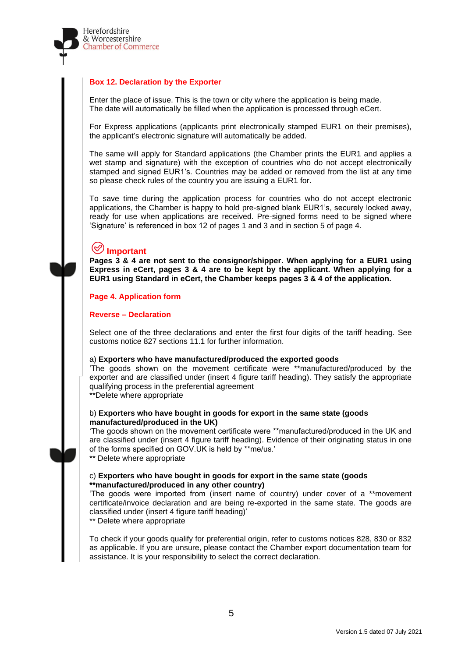

# **Box 12. Declaration by the Exporter**

Enter the place of issue. This is the town or city where the application is being made. The date will automatically be filled when the application is processed through eCert.

For Express applications (applicants print electronically stamped EUR1 on their premises), the applicant's electronic signature will automatically be added.

The same will apply for Standard applications (the Chamber prints the EUR1 and applies a wet stamp and signature) with the exception of countries who do not accept electronically stamped and signed EUR1's. Countries may be added or removed from the list at any time so please check rules of the country you are issuing a EUR1 for.

To save time during the application process for countries who do not accept electronic applications, the Chamber is happy to hold pre-signed blank EUR1's, securely locked away, ready for use when applications are received. Pre-signed forms need to be signed where 'Signature' is referenced in box 12 of pages 1 and 3 and in section 5 of page 4.

# **Important**

**Pages 3 & 4 are not sent to the consignor/shipper. When applying for a EUR1 using Express in eCert, pages 3 & 4 are to be kept by the applicant. When applying for a EUR1 using Standard in eCert, the Chamber keeps pages 3 & 4 of the application.**

# **Page 4. Application form**

### **Reverse – Declaration**

Select one of the three declarations and enter the first four digits of the tariff heading. See customs notice 827 sections 11.1 for further information.

#### a) **Exporters who have manufactured/produced the exported goods**

'The goods shown on the movement certificate were \*\*manufactured/produced by the exporter and are classified under (insert 4 figure tariff heading). They satisfy the appropriate qualifying process in the preferential agreement

\*\*Delete where appropriate

### b) **Exporters who have bought in goods for export in the same state (goods manufactured/produced in the UK)**

'The goods shown on the movement certificate were \*\*manufactured/produced in the UK and are classified under (insert 4 figure tariff heading). Evidence of their originating status in one of the forms specified on GOV.UK is held by \*\*me/us.'

\*\* Delete where appropriate

# c) **Exporters who have bought in goods for export in the same state (goods \*\*manufactured/produced in any other country)**

'The goods were imported from (insert name of country) under cover of a \*\*movement certificate/invoice declaration and are being re-exported in the same state. The goods are classified under (insert 4 figure tariff heading)'

\*\* Delete where appropriate

To check if your goods qualify for preferential origin, refer to customs notices 828, 830 or 832 as applicable. If you are unsure, please contact the Chamber export documentation team for assistance. It is your responsibility to select the correct declaration.